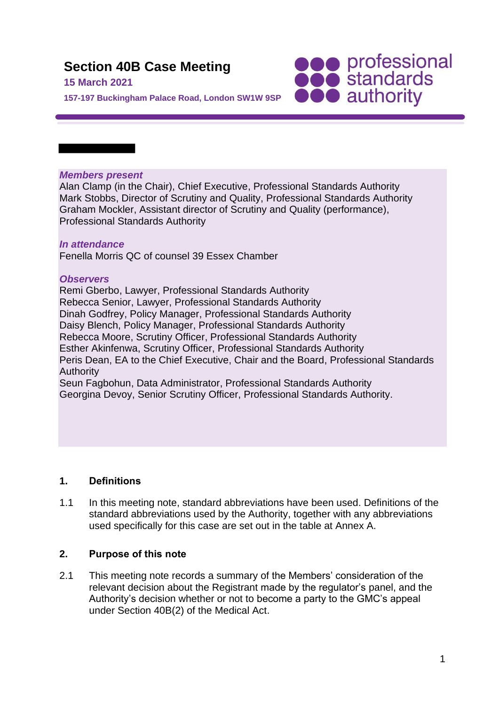# **Section 40B Case Meeting**

## **15 March 2021**

**SOO professional**<br> **SOO standards**<br> **OOO** authority

**157-197 Buckingham Palace Road, London SW1W 9SP**

#### *Members present*

Alan Clamp (in the Chair), Chief Executive, Professional Standards Authority Mark Stobbs, Director of Scrutiny and Quality, Professional Standards Authority Graham Mockler, Assistant director of Scrutiny and Quality (performance), Professional Standards Authority

## *In attendance*

Fenella Morris QC of counsel 39 Essex Chamber

## *Observers*

Remi Gberbo, Lawyer, Professional Standards Authority Rebecca Senior, Lawyer, Professional Standards Authority Dinah Godfrey, Policy Manager, Professional Standards Authority Daisy Blench, Policy Manager, Professional Standards Authority Rebecca Moore, Scrutiny Officer, Professional Standards Authority Esther Akinfenwa, Scrutiny Officer, Professional Standards Authority Peris Dean, EA to the Chief Executive, Chair and the Board, Professional Standards Authority Seun Fagbohun, Data Administrator, Professional Standards Authority Georgina Devoy, Senior Scrutiny Officer, Professional Standards Authority.

## **1. Definitions**

1.1 In this meeting note, standard abbreviations have been used. Definitions of the standard abbreviations used by the Authority, together with any abbreviations used specifically for this case are set out in the table at Annex A.

#### **2. Purpose of this note**

2.1 This meeting note records a summary of the Members' consideration of the relevant decision about the Registrant made by the regulator's panel, and the Authority's decision whether or not to become a party to the GMC's appeal under Section 40B(2) of the Medical Act.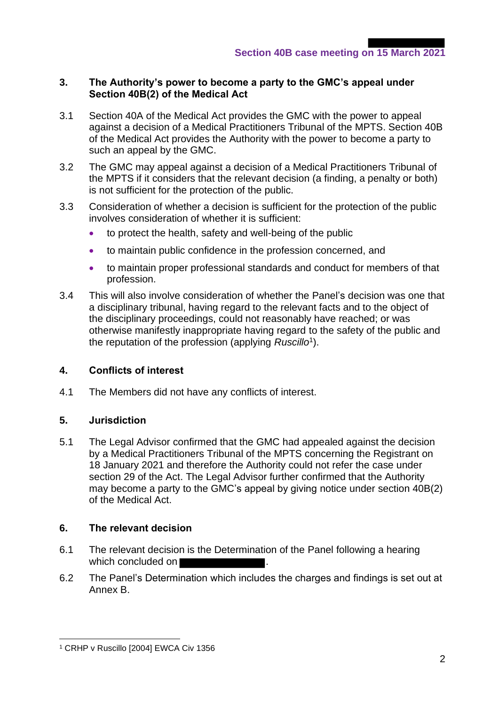## **3. The Authority's power to become a party to the GMC's appeal under Section 40B(2) of the Medical Act**

- 3.1 Section 40A of the Medical Act provides the GMC with the power to appeal against a decision of a Medical Practitioners Tribunal of the MPTS. Section 40B of the Medical Act provides the Authority with the power to become a party to such an appeal by the GMC.
- 3.2 The GMC may appeal against a decision of a Medical Practitioners Tribunal of the MPTS if it considers that the relevant decision (a finding, a penalty or both) is not sufficient for the protection of the public.
- 3.3 Consideration of whether a decision is sufficient for the protection of the public involves consideration of whether it is sufficient:
	- to protect the health, safety and well-being of the public
	- to maintain public confidence in the profession concerned, and
	- to maintain proper professional standards and conduct for members of that profession.
- 3.4 This will also involve consideration of whether the Panel's decision was one that a disciplinary tribunal, having regard to the relevant facts and to the object of the disciplinary proceedings, could not reasonably have reached; or was otherwise manifestly inappropriate having regard to the safety of the public and the reputation of the profession (applying *Ruscillo*<sup>1</sup> ).

## **4. Conflicts of interest**

4.1 The Members did not have any conflicts of interest.

## **5. Jurisdiction**

5.1 The Legal Advisor confirmed that the GMC had appealed against the decision by a Medical Practitioners Tribunal of the MPTS concerning the Registrant on 18 January 2021 and therefore the Authority could not refer the case under section 29 of the Act. The Legal Advisor further confirmed that the Authority may become a party to the GMC's appeal by giving notice under section 40B(2) of the Medical Act.

## **6. The relevant decision**

- 6.1 The relevant decision is the Determination of the Panel following a hearing which concluded on
- 6.2 The Panel's Determination which includes the charges and findings is set out at Annex B.

<sup>1</sup> CRHP v Ruscillo [2004] EWCA Civ 1356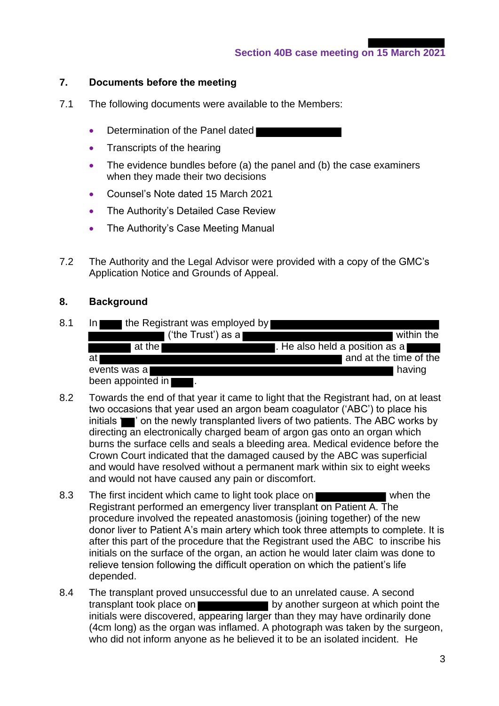## **7. Documents before the meeting**

- 7.1 The following documents were available to the Members:
	- Determination of the Panel dated
	- Transcripts of the hearing
	- The evidence bundles before (a) the panel and (b) the case examiners when they made their two decisions
	- Counsel's Note dated 15 March 2021
	- The Authority's Detailed Case Review
	- The Authority's Case Meeting Manual
- 7.2 The Authority and the Legal Advisor were provided with a copy of the GMC's Application Notice and Grounds of Appeal.

#### **8. Background**

8.1 In the Registrant was employed by

| ('the Trust') as a  | within the                      |
|---------------------|---------------------------------|
| at the l            | I. He also held a position as a |
| atl                 | and at the time of the          |
| events was a        | having                          |
| heen annointed in I |                                 |

- been appointed in .
- 8.2 Towards the end of that year it came to light that the Registrant had, on at least two occasions that year used an argon beam coagulator ('ABC') to place his initials **in the newly transplanted livers of two patients. The ABC works by** directing an electronically charged beam of argon gas onto an organ which burns the surface cells and seals a bleeding area. Medical evidence before the Crown Court indicated that the damaged caused by the ABC was superficial and would have resolved without a permanent mark within six to eight weeks and would not have caused any pain or discomfort.
- 8.3 The first incident which came to light took place on when the Registrant performed an emergency liver transplant on Patient A. The procedure involved the repeated anastomosis (joining together) of the new donor liver to Patient A's main artery which took three attempts to complete. It is after this part of the procedure that the Registrant used the ABC to inscribe his initials on the surface of the organ, an action he would later claim was done to relieve tension following the difficult operation on which the patient's life depended.
- 8.4 The transplant proved unsuccessful due to an unrelated cause. A second transplant took place on **by another surgeon at which point the** initials were discovered, appearing larger than they may have ordinarily done (4cm long) as the organ was inflamed. A photograph was taken by the surgeon, who did not inform anyone as he believed it to be an isolated incident. He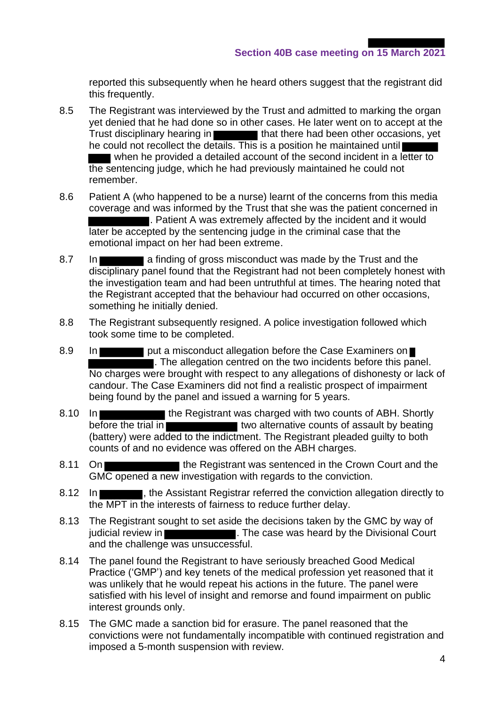reported this subsequently when he heard others suggest that the registrant did this frequently.

- 8.5 The Registrant was interviewed by the Trust and admitted to marking the organ yet denied that he had done so in other cases. He later went on to accept at the Trust disciplinary hearing in that there had been other occasions, yet he could not recollect the details. This is a position he maintained until when he provided a detailed account of the second incident in a letter to the sentencing judge, which he had previously maintained he could not remember.
- 8.6 Patient A (who happened to be a nurse) learnt of the concerns from this media coverage and was informed by the Trust that she was the patient concerned in . Patient A was extremely affected by the incident and it would later be accepted by the sentencing judge in the criminal case that the emotional impact on her had been extreme.
- 8.7 In **a finding of gross misconduct was made by the Trust and the** disciplinary panel found that the Registrant had not been completely honest with the investigation team and had been untruthful at times. The hearing noted that the Registrant accepted that the behaviour had occurred on other occasions, something he initially denied.
- 8.8 The Registrant subsequently resigned. A police investigation followed which took some time to be completed.
- 8.9 In **put a misconduct allegation before the Case Examiners on** . The allegation centred on the two incidents before this panel. No charges were brought with respect to any allegations of dishonesty or lack of candour. The Case Examiners did not find a realistic prospect of impairment being found by the panel and issued a warning for 5 years.
- 8.10 In **The Registrant was charged with two counts of ABH. Shortly** before the trial in **the set of the trial in** two alternative counts of assault by beating (battery) were added to the indictment. The Registrant pleaded guilty to both counts of and no evidence was offered on the ABH charges.
- 8.11 On **The Registrant was sentenced in the Crown Court and the** GMC opened a new investigation with regards to the conviction.
- 8.12 In **Fig. 2.12**, the Assistant Registrar referred the conviction allegation directly to the MPT in the interests of fairness to reduce further delay.
- 8.13 The Registrant sought to set aside the decisions taken by the GMC by way of judicial review in **The Case was heard by the Divisional Court** and the challenge was unsuccessful.
- 8.14 The panel found the Registrant to have seriously breached Good Medical Practice ('GMP') and key tenets of the medical profession yet reasoned that it was unlikely that he would repeat his actions in the future. The panel were satisfied with his level of insight and remorse and found impairment on public interest grounds only.
- 8.15 The GMC made a sanction bid for erasure. The panel reasoned that the convictions were not fundamentally incompatible with continued registration and imposed a 5-month suspension with review.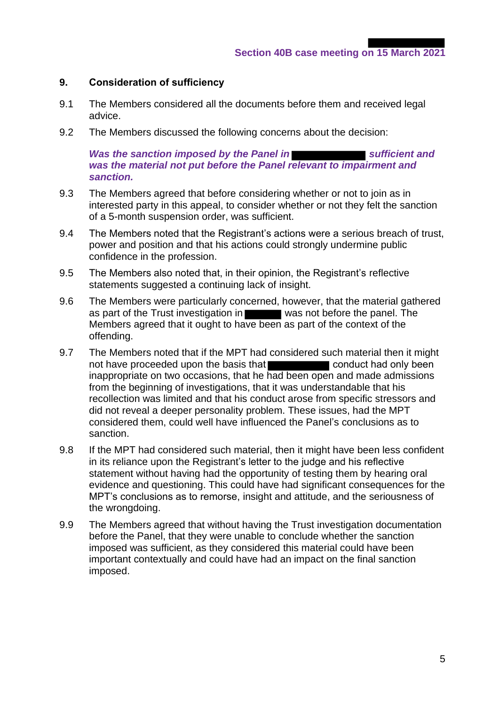### **9. Consideration of sufficiency**

- 9.1 The Members considered all the documents before them and received legal advice.
- 9.2 The Members discussed the following concerns about the decision:

*Was the sanction imposed by the Panel in* **Subsequentially** *and sufficient* and *was the material not put before the Panel relevant to impairment and sanction.*

- 9.3 The Members agreed that before considering whether or not to join as in interested party in this appeal, to consider whether or not they felt the sanction of a 5-month suspension order, was sufficient.
- 9.4 The Members noted that the Registrant's actions were a serious breach of trust, power and position and that his actions could strongly undermine public confidence in the profession.
- 9.5 The Members also noted that, in their opinion, the Registrant's reflective statements suggested a continuing lack of insight.
- 9.6 The Members were particularly concerned, however, that the material gathered as part of the Trust investigation in was not before the panel. The Members agreed that it ought to have been as part of the context of the offending.
- 9.7 The Members noted that if the MPT had considered such material then it might not have proceeded upon the basis that **conduct** conduct had only been inappropriate on two occasions, that he had been open and made admissions from the beginning of investigations, that it was understandable that his recollection was limited and that his conduct arose from specific stressors and did not reveal a deeper personality problem. These issues, had the MPT considered them, could well have influenced the Panel's conclusions as to sanction.
- 9.8 If the MPT had considered such material, then it might have been less confident in its reliance upon the Registrant's letter to the judge and his reflective statement without having had the opportunity of testing them by hearing oral evidence and questioning. This could have had significant consequences for the MPT's conclusions as to remorse, insight and attitude, and the seriousness of the wrongdoing.
- 9.9 The Members agreed that without having the Trust investigation documentation before the Panel, that they were unable to conclude whether the sanction imposed was sufficient, as they considered this material could have been important contextually and could have had an impact on the final sanction imposed.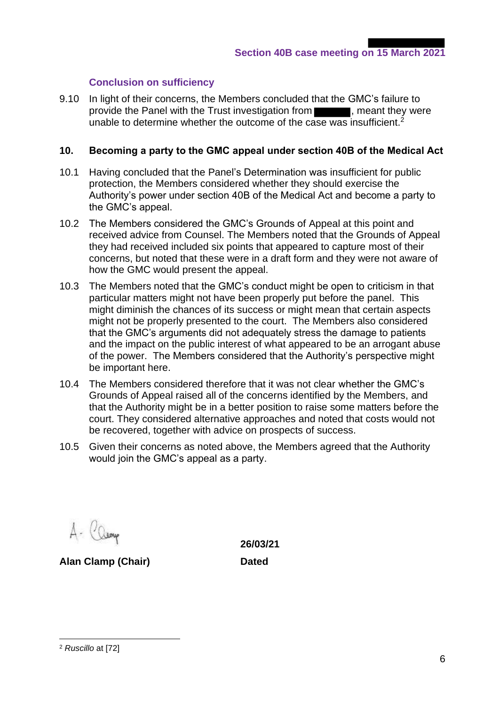## **Conclusion on sufficiency**

9.10 In light of their concerns, the Members concluded that the GMC's failure to provide the Panel with the Trust investigation from **Table 1.**, meant they were unable to determine whether the outcome of the case was insufficient.<sup>2</sup>

### **10. Becoming a party to the GMC appeal under section 40B of the Medical Act**

- 10.1 Having concluded that the Panel's Determination was insufficient for public protection, the Members considered whether they should exercise the Authority's power under section 40B of the Medical Act and become a party to the GMC's appeal.
- 10.2 The Members considered the GMC's Grounds of Appeal at this point and received advice from Counsel. The Members noted that the Grounds of Appeal they had received included six points that appeared to capture most of their concerns, but noted that these were in a draft form and they were not aware of how the GMC would present the appeal.
- 10.3 The Members noted that the GMC's conduct might be open to criticism in that particular matters might not have been properly put before the panel. This might diminish the chances of its success or might mean that certain aspects might not be properly presented to the court. The Members also considered that the GMC's arguments did not adequately stress the damage to patients and the impact on the public interest of what appeared to be an arrogant abuse of the power. The Members considered that the Authority's perspective might be important here.
- 10.4 The Members considered therefore that it was not clear whether the GMC's Grounds of Appeal raised all of the concerns identified by the Members, and that the Authority might be in a better position to raise some matters before the court. They considered alternative approaches and noted that costs would not be recovered, together with advice on prospects of success.
- 10.5 Given their concerns as noted above, the Members agreed that the Authority would join the GMC's appeal as a party.

A- Camp

**Alan Clamp (Chair) Dated**

**26/03/21**

<sup>2</sup> *Ruscillo* at [72]